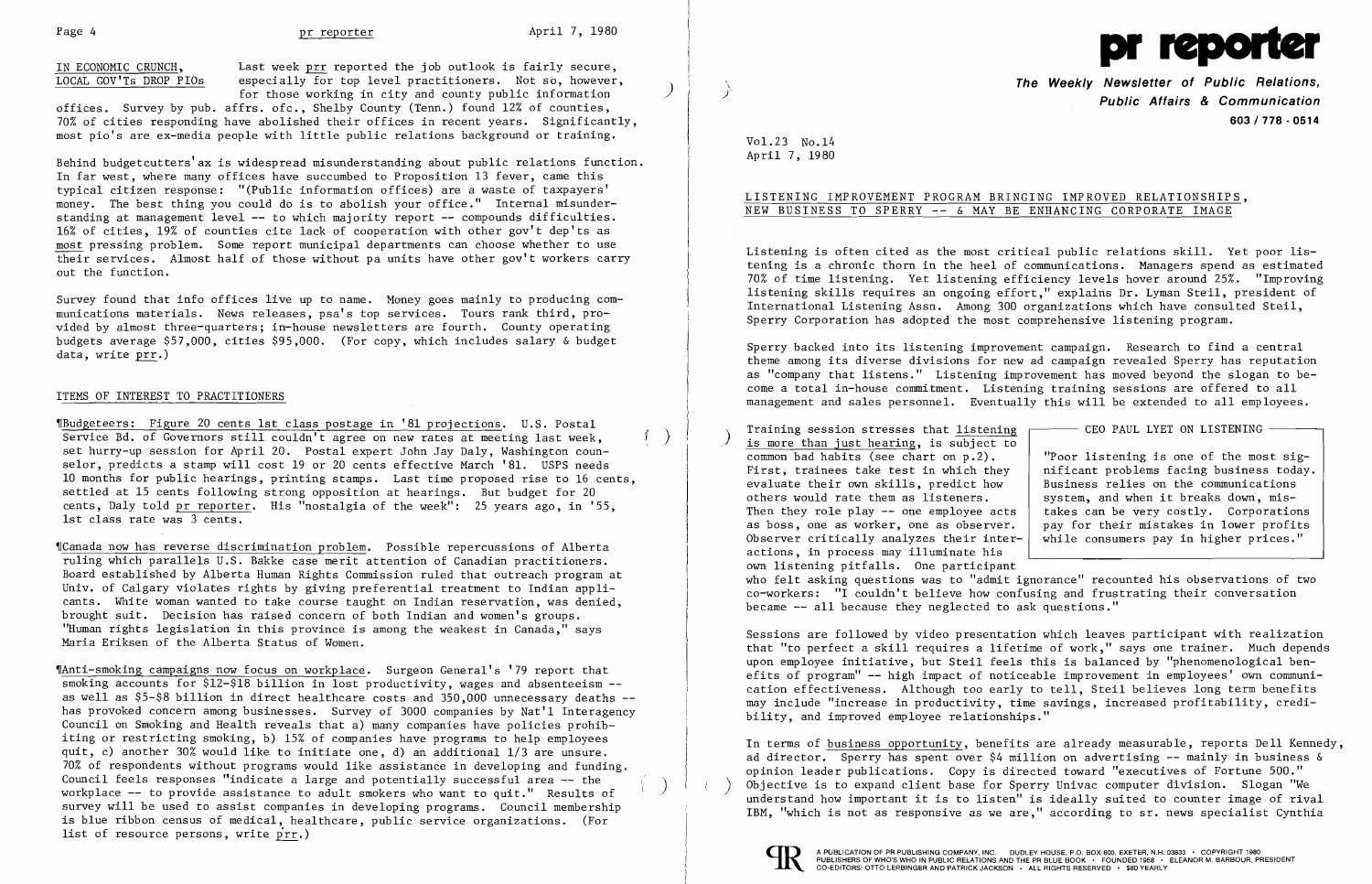Page 4 pr reporter April 7, 1980<br>IN ECONOMIC CRUNCH, Last week prr reported the job outlook is fairly secure, LOCAL GOV'Ts DROP PIOs especially for top level practitioners. Not so, however, for those working in city and county public information

offices. Survey by pub. affrs. ofc., Shelby County (Tenn.) found 12% of counties, 70% of cities responding have abolished their offices in recent years. Significantly, most pio's are ex-media people with little public relations background or training.

Survey found that info offices live up to name. Money goes mainly to producing communications materials. News releases, psa's top services. Tours rank third, provided by almost three-quarters; in-house newsletters are fourth. County operating budgets average \$57,000, cities \$95,000. (For copy, which includes salary & budget data, write prr.)

Behind budgetcutters'ax is widespread misunderstanding about public relations function. In far west, where many offices have succumbed to Proposition 13 fever, came this typical citizen response: "(Public information offices) are a waste of taxpayers' money. The best thing you could do is to abolish your office." Internal misunderstanding at management level -- to which majority report -- compounds difficulties. 16% of cities, 19% of counties cite lack of cooperation with other gov't dep'ts as most pressing problem. Some report municipal departments can choose whether to use their services. Almost half of those without pa units have other gov't workers carry out the function.

 $P_{\text{Budge}}$  Figure 20 cents 1st class postage in '81 projections. U.S. Postal ...  $\left( \begin{array}{c} 0 & \text{if } 0 \end{array} \right)$ Service Bd. of Governors still couldn't agree on new rates at meeting last week. set hurry-up session for April 20. Postal expert John Jay Daly, Washington counselor, predicts a stamp will cost 19 or 20 cents effective March '81. USPS needs 10 months for public hearings, printing stamps. Last time proposed rise to 16 cents, settled at 15 cents following strong opposition at hearings. But budget for 20 cents, Daly told pr reporter. His "nostalgia of the week": 25 years ago, in '55, 1st class rate was 3 cents.

,rAnti-smoking campaigns now focus on workplace. Surgeon General's '79 report that smoking accounts for \$12-\$18 billion in lost productivity, wages and absenteeism -as well as  $$5-$8$$  billion in direct healthcare costs and  $350,000$  unnecessary deaths  $$ has provoked concern among businesses. Survey of 3000 companies by Nat'l Interagency Council on Smoking and Health reveals that a) many companies have policies prohibiting or restricting smoking, b) 15% of companies have programs to help employees quit, c) another 30% would like to initiate one, d) an additional 1/3 are unsure. 70% of respondents without programs would like assistance in developing and funding. Council feels responses "indicate a large and potentially successful area -- the<br>workplace -- to provide assistance to adult smokers who want to quit." Results of survey will be used to assist companies in developing programs. Council membership is blue ribbon census of medical, healthcare, public service organizations. (For list of resource persons, write prr.)

## ITEMS OF INTEREST TO PRACTITIONERS

,rCanada now has reverse discrimination problem. Possible repercussions of Alberta ruling which parallels U.S. Bakke case merit attention of Canadian practitioners. Board established by Alberta Human Rights Commission ruled that outreach program at Univ. of Calgary violates rights by giving preferential treatment to Indian applicants. White woman wanted to take course taught on Indian reservation, was denied, brought suit. Decision has raised concern of both Indian and women's groups. "Human rights legislation in this province is among the weakest in Canada," says Maria Eriksen of the Alberta Status of Women.

Training session stresses that  $listening$  – CEO PAUL LYET ON LISTENING – is more than just hearing, is subject to</u> common bad habits (see chart on p.2). Training session stresses that listening First, trainees take test in which they  $\begin{array}{|l|l|}\n \hline\n r & nificant problems facing business toda\n \end{array}$  evaluate their own skills, predict how Business relies on the communications evaluate their own skills, predict how others would rate them as listeners. Then they role play  $-$  one employee acts as boss, one as worker, one as observer. pay for their mistakes in lower profits observer critically analyzes their inter- while consumers pay in higher prices." actions, in process may illuminate his own listening pitfalls. One participant became -- all because they neglected to ask questions."



\ **The Weekly Newsletter of Public Relations,**  <sup>f</sup>**Public Affairs & Communication 603/778·0514** 

Vo1.23 No.14 April 7, 1980

# LISTENING IMPROVEMENT PROGRAM BRINGING IMPROVED RELATIONSHIPS, NEW BUSINESS TO SPERRY -- & MAY BE ENHANCING CORPORATE IMAGE

Listening is often cited as the most critical public relations skill. Yet poor listening is a chronic thorn in the heel of communications. Managers spend as estimated 70% of time listening. Yet listening efficiency levels hover around 25%. "Improving listening skills requires an ongoing effort," explains Dr. Lyman Steil, president of International Listening Assn. Among 300 organizations which have consulted Steil, Sperry Corporation has adopted the most comprehensive listening program.

Sperry backed into its listening improvement campaign. Research to find a central theme among its diverse divisions for new ad campaign revealed Sperry has reputation as "company that listens." Listening improvement has moved beyond the slogan to become a total in-house commitment. Listening training sessions are offered to all management and sales personnel. Eventually this will be extended to all employees.

who felt asking questions was to "admit ignorance" recounted his observations of two co-workers: "I couldn't believe how confusing and frustrating their conversation

Sessions are followed by video presentation which leaves participant with realization that "to perfect a skill requires a lifetime of work," says one trainer. Much depends upon employee initiative, but Steil feels this is balanced by "phenomenological benefits of program" -- high impact of noticeable improvement in employees' own communi cation effectiveness. Although too early to tell, Steil believes long term benefits may include "increase in productivity, time savings, increased profitability, credibility, and improved employee relationships."

In terms of business opportunity, benefits are already measurable, reports Dell Kennedy, ad director. Sperry has spent over \$4 million on advertising -- mainly in business & opinion leader publications. Copy is directed toward "executives of Fortune 500." Objective is to expand client base for Sperry Univac computer division. Slogan "We understand how important it is to listen" is ideally suited to counter image of rival IBM, "which is not as responsive as we are," according to sr. news specialist Cynthia



I

"Poor listening is one of the most sig-<br>nificant problems facing business today. system, and when it breaks down, mis-<br>takes can be very costly. Corporations while consumers pay in higher prices."